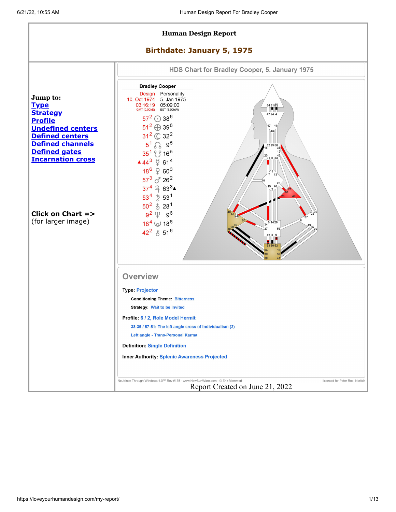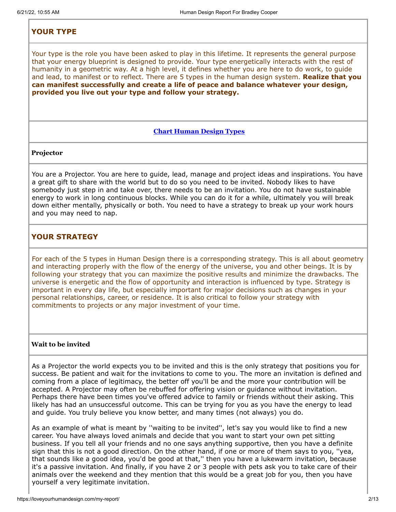## <span id="page-1-0"></span>**YOUR TYPE**

Your type is the role you have been asked to play in this lifetime. It represents the general purpose that your energy blueprint is designed to provide. Your type energetically interacts with the rest of humanity in a geometric way. At a high level, it defines whether you are here to do work, to guide and lead, to manifest or to reflect. There are 5 types in the human design system. **Realize that you can manifest successfully and create a life of peace and balance whatever your design, provided you live out your type and follow your strategy.**

### **Chart [Human](http://www.angelsteach.com/wordpress/wp-content/uploads/2008/03/HDpiechart.gif) Design Types**

#### **Projector**

You are a Projector. You are here to guide, lead, manage and project ideas and inspirations. You have a great gift to share with the world but to do so you need to be invited. Nobody likes to have somebody just step in and take over, there needs to be an invitation. You do not have sustainable energy to work in long continuous blocks. While you can do it for a while, ultimately you will break down either mentally, physically or both. You need to have a strategy to break up your work hours and you may need to nap.

## <span id="page-1-1"></span>**YOUR STRATEGY**

For each of the 5 types in Human Design there is a corresponding strategy. This is all about geometry and interacting properly with the flow of the energy of the universe, you and other beings. It is by following your strategy that you can maximize the positive results and minimize the drawbacks. The universe is energetic and the flow of opportunity and interaction is influenced by type. Strategy is important in every day life, but especially important for major decisions such as changes in your personal relationships, career, or residence. It is also critical to follow your strategy with commitments to projects or any major investment of your time.

### **Wait to be invited**

As a Projector the world expects you to be invited and this is the only strategy that positions you for success. Be patient and wait for the invitations to come to you. The more an invitation is defined and coming from a place of legitimacy, the better off you'll be and the more your contribution will be accepted. A Projector may often be rebuffed for offering vision or guidance without invitation. Perhaps there have been times you've offered advice to family or friends without their asking. This likely has had an unsuccessful outcome. This can be trying for you as you have the energy to lead and guide. You truly believe you know better, and many times (not always) you do.

As an example of what is meant by ''waiting to be invited'', let's say you would like to find a new career. You have always loved animals and decide that you want to start your own pet sitting business. If you tell all your friends and no one says anything supportive, then you have a definite sign that this is not a good direction. On the other hand, if one or more of them says to you, ''yea, that sounds like a good idea, you'd be good at that,'' then you have a lukewarm invitation, because it's a passive invitation. And finally, if you have 2 or 3 people with pets ask you to take care of their animals over the weekend and they mention that this would be a great job for you, then you have yourself a very legitimate invitation.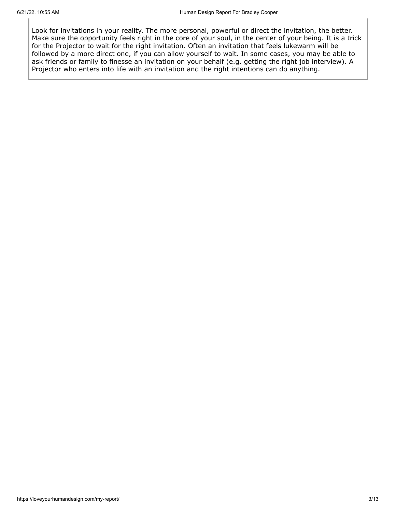Look for invitations in your reality. The more personal, powerful or direct the invitation, the better. Make sure the opportunity feels right in the core of your soul, in the center of your being. It is a trick for the Projector to wait for the right invitation. Often an invitation that feels lukewarm will be followed by a more direct one, if you can allow yourself to wait. In some cases, you may be able to ask friends or family to finesse an invitation on your behalf (e.g. getting the right job interview). A Projector who enters into life with an invitation and the right intentions can do anything.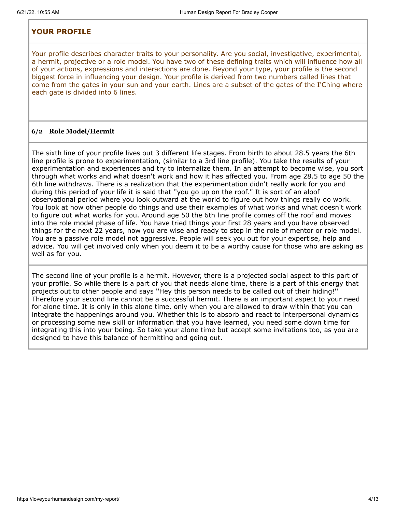## <span id="page-3-0"></span>**YOUR PROFILE**

Your profile describes character traits to your personality. Are you social, investigative, experimental, a hermit, projective or a role model. You have two of these defining traits which will influence how all of your actions, expressions and interactions are done. Beyond your type, your profile is the second biggest force in influencing your design. Your profile is derived from two numbers called lines that come from the gates in your sun and your earth. Lines are a subset of the gates of the I'Ching where each gate is divided into 6 lines.

### **6/2 Role Model/Hermit**

The sixth line of your profile lives out 3 different life stages. From birth to about 28.5 years the 6th line profile is prone to experimentation, (similar to a 3rd line profile). You take the results of your experimentation and experiences and try to internalize them. In an attempt to become wise, you sort through what works and what doesn't work and how it has affected you. From age 28.5 to age 50 the 6th line withdraws. There is a realization that the experimentation didn't really work for you and during this period of your life it is said that ''you go up on the roof.'' It is sort of an aloof observational period where you look outward at the world to figure out how things really do work. You look at how other people do things and use their examples of what works and what doesn't work to figure out what works for you. Around age 50 the 6th line profile comes off the roof and moves into the role model phase of life. You have tried things your first 28 years and you have observed things for the next 22 years, now you are wise and ready to step in the role of mentor or role model. You are a passive role model not aggressive. People will seek you out for your expertise, help and advice. You will get involved only when you deem it to be a worthy cause for those who are asking as well as for you.

The second line of your profile is a hermit. However, there is a projected social aspect to this part of your profile. So while there is a part of you that needs alone time, there is a part of this energy that projects out to other people and says ''Hey this person needs to be called out of their hiding!'' Therefore your second line cannot be a successful hermit. There is an important aspect to your need for alone time. It is only in this alone time, only when you are allowed to draw within that you can integrate the happenings around you. Whether this is to absorb and react to interpersonal dynamics or processing some new skill or information that you have learned, you need some down time for integrating this into your being. So take your alone time but accept some invitations too, as you are designed to have this balance of hermitting and going out.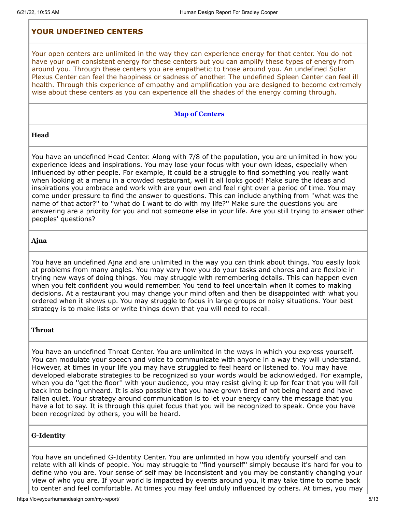# <span id="page-4-0"></span>**YOUR UNDEFINED CENTERS**

Your open centers are unlimited in the way they can experience energy for that center. You do not have your own consistent energy for these centers but you can amplify these types of energy from around you. Through these centers you are empathetic to those around you. An undefined Solar Plexus Center can feel the happiness or sadness of another. The undefined Spleen Center can feel ill health. Through this experience of empathy and amplification you are designed to become extremely wise about these centers as you can experience all the shades of the energy coming through.

### **Map of [Centers](https://loveyourhumandesign.com/wordpress/wp-content/uploads/BodyGraphLabels.jpg)**

**Head**

You have an undefined Head Center. Along with 7/8 of the population, you are unlimited in how you experience ideas and inspirations. You may lose your focus with your own ideas, especially when influenced by other people. For example, it could be a struggle to find something you really want when looking at a menu in a crowded restaurant, well it all looks good! Make sure the ideas and inspirations you embrace and work with are your own and feel right over a period of time. You may come under pressure to find the answer to questions. This can include anything from ''what was the name of that actor?'' to ''what do I want to do with my life?'' Make sure the questions you are answering are a priority for you and not someone else in your life. Are you still trying to answer other peoples' questions?

#### **Ajna**

You have an undefined Ajna and are unlimited in the way you can think about things. You easily look at problems from many angles. You may vary how you do your tasks and chores and are flexible in trying new ways of doing things. You may struggle with remembering details. This can happen even when you felt confident you would remember. You tend to feel uncertain when it comes to making decisions. At a restaurant you may change your mind often and then be disappointed with what you ordered when it shows up. You may struggle to focus in large groups or noisy situations. Your best strategy is to make lists or write things down that you will need to recall.

### **Throat**

You have an undefined Throat Center. You are unlimited in the ways in which you express yourself. You can modulate your speech and voice to communicate with anyone in a way they will understand. However, at times in your life you may have struggled to feel heard or listened to. You may have developed elaborate strategies to be recognized so your words would be acknowledged. For example, when you do ''get the floor'' with your audience, you may resist giving it up for fear that you will fall back into being unheard. It is also possible that you have grown tired of not being heard and have fallen quiet. Your strategy around communication is to let your energy carry the message that you have a lot to say. It is through this quiet focus that you will be recognized to speak. Once you have been recognized by others, you will be heard.

### **G-Identity**

You have an undefined G-Identity Center. You are unlimited in how you identify yourself and can relate with all kinds of people. You may struggle to ''find yourself'' simply because it's hard for you to define who you are. Your sense of self may be inconsistent and you may be constantly changing your view of who you are. If your world is impacted by events around you, it may take time to come back to center and feel comfortable. At times you may feel unduly influenced by others. At times, you may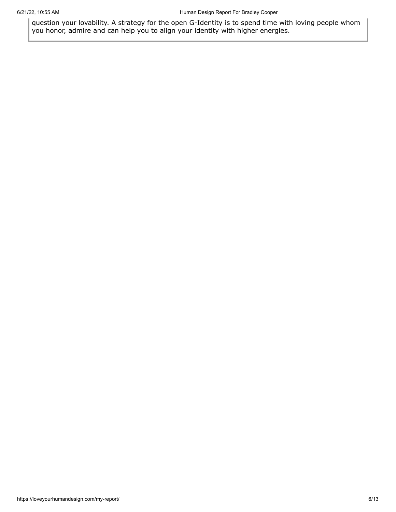question your lovability. A strategy for the open G-Identity is to spend time with loving people whom you honor, admire and can help you to align your identity with higher energies.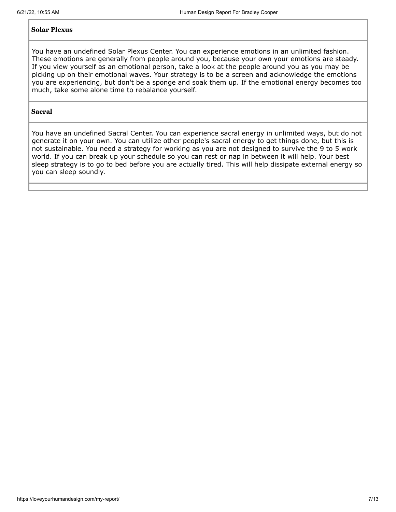### **Solar Plexus**

You have an undefined Solar Plexus Center. You can experience emotions in an unlimited fashion. These emotions are generally from people around you, because your own your emotions are steady. If you view yourself as an emotional person, take a look at the people around you as you may be picking up on their emotional waves. Your strategy is to be a screen and acknowledge the emotions you are experiencing, but don't be a sponge and soak them up. If the emotional energy becomes too much, take some alone time to rebalance yourself.

### **Sacral**

You have an undefined Sacral Center. You can experience sacral energy in unlimited ways, but do not generate it on your own. You can utilize other people's sacral energy to get things done, but this is not sustainable. You need a strategy for working as you are not designed to survive the 9 to 5 work world. If you can break up your schedule so you can rest or nap in between it will help. Your best sleep strategy is to go to bed before you are actually tired. This will help dissipate external energy so you can sleep soundly.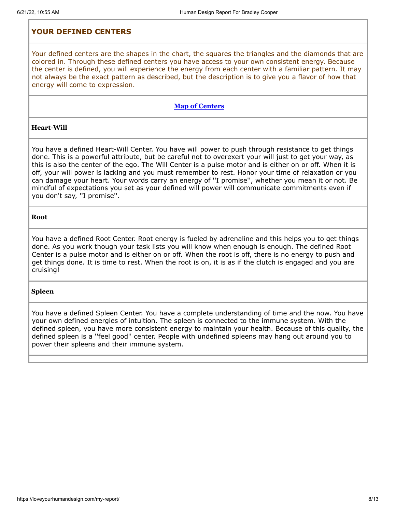## <span id="page-7-0"></span>**YOUR DEFINED CENTERS**

Your defined centers are the shapes in the chart, the squares the triangles and the diamonds that are colored in. Through these defined centers you have access to your own consistent energy. Because the center is defined, you will experience the energy from each center with a familiar pattern. It may not always be the exact pattern as described, but the description is to give you a flavor of how that energy will come to expression.

### **Map of [Centers](https://loveyourhumandesign.com/wordpress/wp-content/uploads/BodyGraphLabels.jpg)**

### **Heart-Will**

You have a defined Heart-Will Center. You have will power to push through resistance to get things done. This is a powerful attribute, but be careful not to overexert your will just to get your way, as this is also the center of the ego. The Will Center is a pulse motor and is either on or off. When it is off, your will power is lacking and you must remember to rest. Honor your time of relaxation or you can damage your heart. Your words carry an energy of ''I promise'', whether you mean it or not. Be mindful of expectations you set as your defined will power will communicate commitments even if you don't say, ''I promise''.

#### **Root**

You have a defined Root Center. Root energy is fueled by adrenaline and this helps you to get things done. As you work though your task lists you will know when enough is enough. The defined Root Center is a pulse motor and is either on or off. When the root is off, there is no energy to push and get things done. It is time to rest. When the root is on, it is as if the clutch is engaged and you are cruising!

#### **Spleen**

You have a defined Spleen Center. You have a complete understanding of time and the now. You have your own defined energies of intuition. The spleen is connected to the immune system. With the defined spleen, you have more consistent energy to maintain your health. Because of this quality, the defined spleen is a ''feel good'' center. People with undefined spleens may hang out around you to power their spleens and their immune system.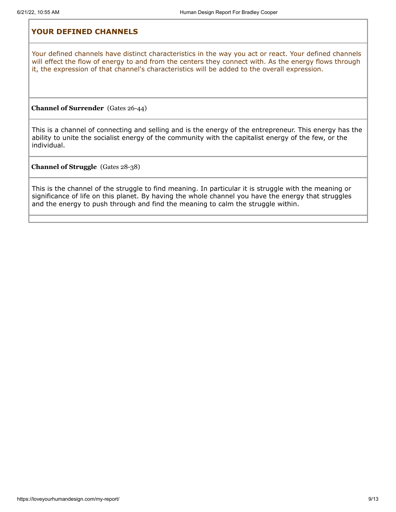## <span id="page-8-0"></span>**YOUR DEFINED CHANNELS**

Your defined channels have distinct characteristics in the way you act or react. Your defined channels will effect the flow of energy to and from the centers they connect with. As the energy flows through it, the expression of that channel's characteristics will be added to the overall expression.

**Channel of Surrender** (Gates 26-44)

This is a channel of connecting and selling and is the energy of the entrepreneur. This energy has the ability to unite the socialist energy of the community with the capitalist energy of the few, or the individual.

**Channel of Struggle** (Gates 28-38)

This is the channel of the struggle to find meaning. In particular it is struggle with the meaning or significance of life on this planet. By having the whole channel you have the energy that struggles and the energy to push through and find the meaning to calm the struggle within.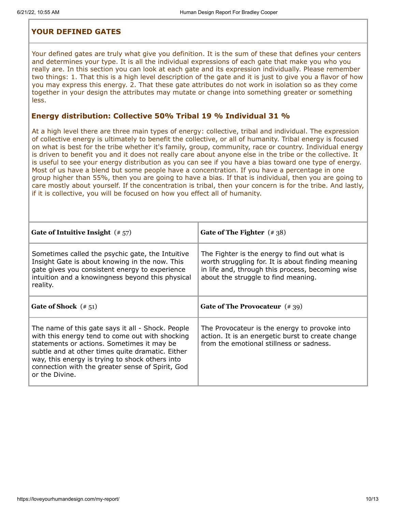## <span id="page-9-0"></span>**YOUR DEFINED GATES**

Your defined gates are truly what give you definition. It is the sum of these that defines your centers and determines your type. It is all the individual expressions of each gate that make you who you really are. In this section you can look at each gate and its expression individually. Please remember two things: 1. That this is a high level description of the gate and it is just to give you a flavor of how you may express this energy. 2. That these gate attributes do not work in isolation so as they come together in your design the attributes may mutate or change into something greater or something less.

### **Energy distribution: Collective 50% Tribal 19 % Individual 31 %**

At a high level there are three main types of energy: collective, tribal and individual. The expression of collective energy is ultimately to benefit the collective, or all of humanity. Tribal energy is focused on what is best for the tribe whether it's family, group, community, race or country. Individual energy is driven to benefit you and it does not really care about anyone else in the tribe or the collective. It is useful to see your energy distribution as you can see if you have a bias toward one type of energy. Most of us have a blend but some people have a concentration. If you have a percentage in one group higher than 55%, then you are going to have a bias. If that is individual, then you are going to care mostly about yourself. If the concentration is tribal, then your concern is for the tribe. And lastly, if it is collective, you will be focused on how you effect all of humanity.

| Gate of Intuitive Insight $(* 57)$                                                                                                                                                                                                                                                                                              | Gate of The Fighter $(* 38)$                                                                                                                                                                  |
|---------------------------------------------------------------------------------------------------------------------------------------------------------------------------------------------------------------------------------------------------------------------------------------------------------------------------------|-----------------------------------------------------------------------------------------------------------------------------------------------------------------------------------------------|
| Sometimes called the psychic gate, the Intuitive<br>Insight Gate is about knowing in the now. This<br>gate gives you consistent energy to experience<br>intuition and a knowingness beyond this physical<br>reality.                                                                                                            | The Fighter is the energy to find out what is<br>worth struggling for. It is about finding meaning<br>in life and, through this process, becoming wise<br>about the struggle to find meaning. |
| Gate of Shock $(* 51)$                                                                                                                                                                                                                                                                                                          | Gate of The Provocateur $(*39)$                                                                                                                                                               |
| The name of this gate says it all - Shock. People<br>with this energy tend to come out with shocking<br>statements or actions. Sometimes it may be<br>subtle and at other times quite dramatic. Either<br>way, this energy is trying to shock others into<br>connection with the greater sense of Spirit, God<br>or the Divine. | The Provocateur is the energy to provoke into<br>action. It is an energetic burst to create change<br>from the emotional stillness or sadness.                                                |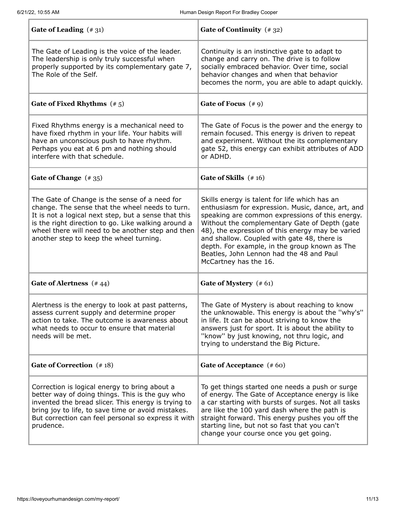| Gate of Leading $(*31)$                                                                                                                                                                                                                                                                                         | Gate of Continuity (#32)                                                                                                                                                                                                                                                                                                                                                                                                        |
|-----------------------------------------------------------------------------------------------------------------------------------------------------------------------------------------------------------------------------------------------------------------------------------------------------------------|---------------------------------------------------------------------------------------------------------------------------------------------------------------------------------------------------------------------------------------------------------------------------------------------------------------------------------------------------------------------------------------------------------------------------------|
| The Gate of Leading is the voice of the leader.<br>The leadership is only truly successful when<br>properly supported by its complementary gate 7,<br>The Role of the Self.                                                                                                                                     | Continuity is an instinctive gate to adapt to<br>change and carry on. The drive is to follow<br>socially embraced behavior. Over time, social<br>behavior changes and when that behavior<br>becomes the norm, you are able to adapt quickly.                                                                                                                                                                                    |
| Gate of Fixed Rhythms $(* 5)$                                                                                                                                                                                                                                                                                   | Gate of Focus $(49)$                                                                                                                                                                                                                                                                                                                                                                                                            |
| Fixed Rhythms energy is a mechanical need to<br>have fixed rhythm in your life. Your habits will<br>have an unconscious push to have rhythm.<br>Perhaps you eat at 6 pm and nothing should<br>interfere with that schedule.                                                                                     | The Gate of Focus is the power and the energy to<br>remain focused. This energy is driven to repeat<br>and experiment. Without the its complementary<br>gate 52, this energy can exhibit attributes of ADD<br>or ADHD.                                                                                                                                                                                                          |
| Gate of Change $(*35)$                                                                                                                                                                                                                                                                                          | Gate of Skills $(* 16)$                                                                                                                                                                                                                                                                                                                                                                                                         |
| The Gate of Change is the sense of a need for<br>change. The sense that the wheel needs to turn.<br>It is not a logical next step, but a sense that this<br>is the right direction to go. Like walking around a<br>wheel there will need to be another step and then<br>another step to keep the wheel turning. | Skills energy is talent for life which has an<br>enthusiasm for expression. Music, dance, art, and<br>speaking are common expressions of this energy.<br>Without the complementary Gate of Depth (gate<br>48), the expression of this energy may be varied<br>and shallow. Coupled with gate 48, there is<br>depth. For example, in the group known as The<br>Beatles, John Lennon had the 48 and Paul<br>McCartney has the 16. |
| Gate of Alertness (#44)                                                                                                                                                                                                                                                                                         | Gate of Mystery (#61)                                                                                                                                                                                                                                                                                                                                                                                                           |
| Alertness is the energy to look at past patterns,<br>assess current supply and determine proper<br>action to take. The outcome is awareness about<br>what needs to occur to ensure that material<br>needs will be met.                                                                                          | The Gate of Mystery is about reaching to know<br>the unknowable. This energy is about the "why's"<br>in life. It can be about striving to know the<br>answers just for sport. It is about the ability to<br>"know" by just knowing, not thru logic, and<br>trying to understand the Big Picture.                                                                                                                                |
| Gate of Correction (#18)                                                                                                                                                                                                                                                                                        | Gate of Acceptance (#60)                                                                                                                                                                                                                                                                                                                                                                                                        |
| Correction is logical energy to bring about a<br>better way of doing things. This is the guy who<br>invented the bread slicer. This energy is trying to<br>bring joy to life, to save time or avoid mistakes.<br>But correction can feel personal so express it with<br>prudence.                               | To get things started one needs a push or surge<br>of energy. The Gate of Acceptance energy is like<br>a car starting with bursts of surges. Not all tasks<br>are like the 100 yard dash where the path is<br>straight forward. This energy pushes you off the<br>starting line, but not so fast that you can't<br>change your course once you get going.                                                                       |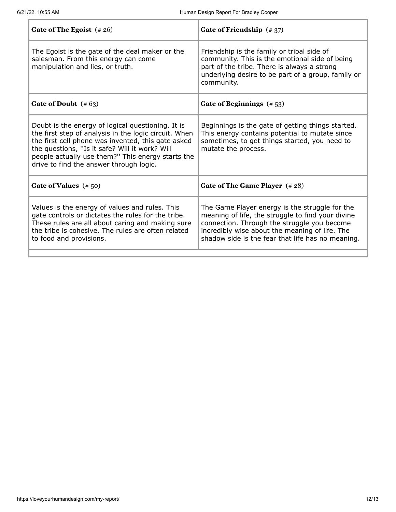| Gate of The Egoist $(* 26)$                                                                                                                                                                                                                                                                                        | Gate of Friendship $(*37)$                                                                                                                                                                                                                                |
|--------------------------------------------------------------------------------------------------------------------------------------------------------------------------------------------------------------------------------------------------------------------------------------------------------------------|-----------------------------------------------------------------------------------------------------------------------------------------------------------------------------------------------------------------------------------------------------------|
| The Egoist is the gate of the deal maker or the<br>salesman. From this energy can come<br>manipulation and lies, or truth.                                                                                                                                                                                         | Friendship is the family or tribal side of<br>community. This is the emotional side of being<br>part of the tribe. There is always a strong<br>underlying desire to be part of a group, family or<br>community.                                           |
| Gate of Doubt $(* 63)$                                                                                                                                                                                                                                                                                             | Gate of Beginnings $(* 53)$                                                                                                                                                                                                                               |
| Doubt is the energy of logical questioning. It is<br>the first step of analysis in the logic circuit. When<br>the first cell phone was invented, this gate asked<br>the questions, "Is it safe? Will it work? Will<br>people actually use them?" This energy starts the<br>drive to find the answer through logic. | Beginnings is the gate of getting things started.<br>This energy contains potential to mutate since<br>sometimes, to get things started, you need to<br>mutate the process.                                                                               |
| Gate of Values $(* 50)$                                                                                                                                                                                                                                                                                            | Gate of The Game Player (#28)                                                                                                                                                                                                                             |
| Values is the energy of values and rules. This<br>gate controls or dictates the rules for the tribe.<br>These rules are all about caring and making sure<br>the tribe is cohesive. The rules are often related<br>to food and provisions.                                                                          | The Game Player energy is the struggle for the<br>meaning of life, the struggle to find your divine<br>connection. Through the struggle you become<br>incredibly wise about the meaning of life. The<br>shadow side is the fear that life has no meaning. |